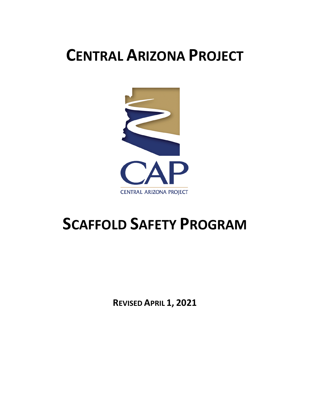# **CENTRAL ARIZONA PROJECT**



# **SCAFFOLD SAFETY PROGRAM**

**REVISED APRIL 1, 2021**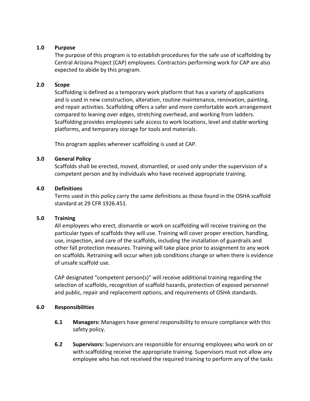#### **1.0 Purpose**

The purpose of this program is to establish procedures for the safe use of scaffolding by Central Arizona Project (CAP) employees. Contractors performing work for CAP are also expected to abide by this program.

#### **2.0 Scope**

Scaffolding is defined as a temporary work platform that has a variety of applications and is used in new construction, alteration, routine maintenance, renovation, painting, and repair activities. Scaffolding offers a safer and more comfortable work arrangement compared to leaning over edges, stretching overhead, and working from ladders. Scaffolding provides employees safe access to work locations, level and stable working platforms, and temporary storage for tools and materials.

This program applies wherever scaffolding is used at CAP.

#### **3.0 General Policy**

Scaffolds shall be erected, moved, dismantled, or used only under the supervision of a competent person and by individuals who have received appropriate training.

#### **4.0 Definitions**

Terms used in this policy carry the same definitions as those found in the OSHA scaffold standard at 29 CFR 1926.451.

#### **5.0 Training**

All employees who erect, dismantle or work on scaffolding will receive training on the particular types of scaffolds they will use. Training will cover proper erection, handling, use, inspection, and care of the scaffolds, including the installation of guardrails and other fall protection measures. Training will take place prior to assignment to any work on scaffolds. Retraining will occur when job conditions change or when there is evidence of unsafe scaffold use.

CAP designated "competent person(s)" will receive additional training regarding the selection of scaffolds, recognition of scaffold hazards, protection of exposed personnel and public, repair and replacement options, and requirements of OSHA standards.

#### **6.0 Responsibilities**

- **6.1 Managers:** Managers have general responsibility to ensure compliance with this safety policy.
- **6.2 Supervisors:** Supervisors are responsible for ensuring employees who work on or with scaffolding receive the appropriate training. Supervisors must not allow any employee who has not received the required training to perform any of the tasks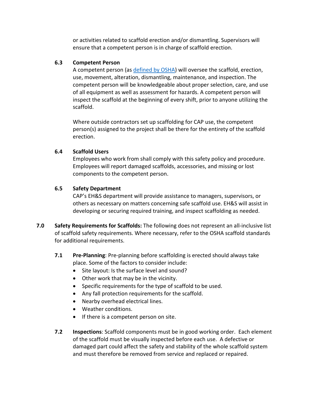or activities related to scaffold erection and/or dismantling. Supervisors will ensure that a competent person is in charge of scaffold erection.

### **6.3 Competent Person**

A competent person (as [defined by OSHA\)](https://www.osha.gov/laws-regs/regulations/standardnumber/1926/1926.450) will oversee the scaffold, erection, use, movement, alteration, dismantling, maintenance, and inspection. The competent person will be knowledgeable about proper selection, care, and use of all equipment as well as assessment for hazards. A competent person will inspect the scaffold at the beginning of every shift, prior to anyone utilizing the scaffold.

Where outside contractors set up scaffolding for CAP use, the competent person(s) assigned to the project shall be there for the entirety of the scaffold erection.

## **6.4 Scaffold Users**

Employees who work from shall comply with this safety policy and procedure. Employees will report damaged scaffolds, accessories, and missing or lost components to the competent person.

## **6.5 Safety Department**

CAP's EH&S department will provide assistance to managers, supervisors, or others as necessary on matters concerning safe scaffold use. EH&S will assist in developing or securing required training, and inspect scaffolding as needed.

- **7.0 Safety Requirements for Scaffolds:** The following does not represent an all-inclusive list of scaffold safety requirements. Where necessary, refer to the OSHA scaffold standards for additional requirements.
	- **7.1 Pre-Planning**: Pre-planning before scaffolding is erected should always take place. Some of the factors to consider include:
		- Site layout: Is the surface level and sound?
		- Other work that may be in the vicinity.
		- Specific requirements for the type of scaffold to be used.
		- Any fall protection requirements for the scaffold.
		- Nearby overhead electrical lines.
		- Weather conditions.
		- If there is a competent person on site.
	- **7.2 Inspections**: Scaffold components must be in good working order. Each element of the scaffold must be visually inspected before each use. A defective or damaged part could affect the safety and stability of the whole scaffold system and must therefore be removed from service and replaced or repaired.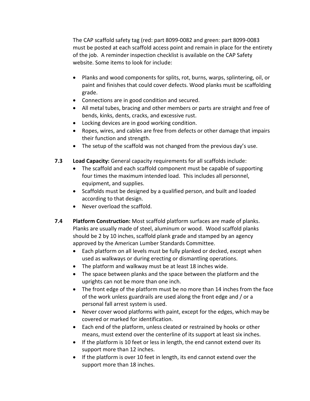The CAP scaffold safety tag (red: part 8099-0082 and green: part 8099-0083 must be posted at each scaffold access point and remain in place for the entirety of the job. A reminder inspection checklist is available on the CAP Safety website. Some items to look for include:

- Planks and wood components for splits, rot, burns, warps, splintering, oil, or paint and finishes that could cover defects. Wood planks must be scaffolding grade.
- Connections are in good condition and secured.
- All metal tubes, bracing and other members or parts are straight and free of bends, kinks, dents, cracks, and excessive rust.
- Locking devices are in good working condition.
- Ropes, wires, and cables are free from defects or other damage that impairs their function and strength.
- The setup of the scaffold was not changed from the previous day's use.
- **7.3 Load Capacity:** General capacity requirements for all scaffolds include:
	- The scaffold and each scaffold component must be capable of supporting four times the maximum intended load. This includes all personnel, equipment, and supplies.
	- Scaffolds must be designed by a qualified person, and built and loaded according to that design.
	- Never overload the scaffold.
- **7.4 Platform Construction:** Most scaffold platform surfaces are made of planks. Planks are usually made of steel, aluminum or wood. Wood scaffold planks should be 2 by 10 inches, scaffold plank grade and stamped by an agency approved by the American Lumber Standards Committee.
	- Each platform on all levels must be fully planked or decked, except when used as walkways or during erecting or dismantling operations.
	- The platform and walkway must be at least 18 inches wide.
	- The space between planks and the space between the platform and the uprights can not be more than one inch.
	- The front edge of the platform must be no more than 14 inches from the face of the work unless guardrails are used along the front edge and / or a personal fall arrest system is used.
	- Never cover wood platforms with paint, except for the edges, which may be covered or marked for identification.
	- Each end of the platform, unless cleated or restrained by hooks or other means, must extend over the centerline of its support at least six inches.
	- If the platform is 10 feet or less in length, the end cannot extend over its support more than 12 inches.
	- If the platform is over 10 feet in length, its end cannot extend over the support more than 18 inches.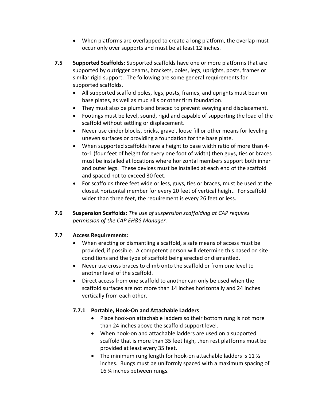- When platforms are overlapped to create a long platform, the overlap must occur only over supports and must be at least 12 inches.
- **7.5 Supported Scaffolds:** Supported scaffolds have one or more platforms that are supported by outrigger beams, brackets, poles, legs, uprights, posts, frames or similar rigid support. The following are some general requirements for supported scaffolds.
	- All supported scaffold poles, legs, posts, frames, and uprights must bear on base plates, as well as mud sills or other firm foundation.
	- They must also be plumb and braced to prevent swaying and displacement.
	- Footings must be level, sound, rigid and capable of supporting the load of the scaffold without settling or displacement.
	- Never use cinder blocks, bricks, gravel, loose fill or other means for leveling uneven surfaces or providing a foundation for the base plate.
	- When supported scaffolds have a height to base width ratio of more than 4 to-1 (four feet of height for every one foot of width) then guys, ties or braces must be installed at locations where horizontal members support both inner and outer legs. These devices must be installed at each end of the scaffold and spaced not to exceed 30 feet.
	- For scaffolds three feet wide or less, guys, ties or braces, must be used at the closest horizontal member for every 20 feet of vertical height. For scaffold wider than three feet, the requirement is every 26 feet or less.
- **7.6 Suspension Scaffolds:** *The use of suspension scaffolding at CAP requires permission of the CAP EH&S Manager.*

## **7.7 Access Requirements:**

- When erecting or dismantling a scaffold, a safe means of access must be provided, if possible. A competent person will determine this based on site conditions and the type of scaffold being erected or dismantled.
- Never use cross braces to climb onto the scaffold or from one level to another level of the scaffold.
- Direct access from one scaffold to another can only be used when the scaffold surfaces are not more than 14 inches horizontally and 24 inches vertically from each other.

## **7.7.1 Portable, Hook-On and Attachable Ladders**

- Place hook-on attachable ladders so their bottom rung is not more than 24 inches above the scaffold support level.
- When hook-on and attachable ladders are used on a supported scaffold that is more than 35 feet high, then rest platforms must be provided at least every 35 feet.
- The minimum rung length for hook-on attachable ladders is 11  $\frac{1}{2}$ inches. Rungs must be uniformly spaced with a maximum spacing of 16 ¾ inches between rungs.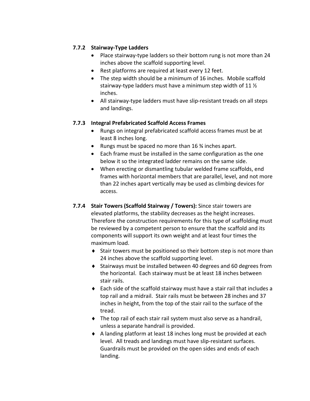## **7.7.2 Stairway-Type Ladders**

- Place stairway-type ladders so their bottom rung is not more than 24 inches above the scaffold supporting level.
- Rest platforms are required at least every 12 feet.
- The step width should be a minimum of 16 inches. Mobile scaffold stairway-type ladders must have a minimum step width of 11 ½ inches.
- All stairway-type ladders must have slip-resistant treads on all steps and landings.

#### **7.7.3 Integral Prefabricated Scaffold Access Frames**

- Rungs on integral prefabricated scaffold access frames must be at least 8 inches long.
- Rungs must be spaced no more than 16 % inches apart.
- Each frame must be installed in the same configuration as the one below it so the integrated ladder remains on the same side.
- When erecting or dismantling tubular welded frame scaffolds, end frames with horizontal members that are parallel, level, and not more than 22 inches apart vertically may be used as climbing devices for access.
- **7.7.4 Stair Towers (Scaffold Stairway / Towers):** Since stair towers are elevated platforms, the stability decreases as the height increases. Therefore the construction requirements for this type of scaffolding must be reviewed by a competent person to ensure that the scaffold and its components will support its own weight and at least four times the maximum load.
	- ♦ Stair towers must be positioned so their bottom step is not more than 24 inches above the scaffold supporting level.
	- $\bullet$  Stairways must be installed between 40 degrees and 60 degrees from the horizontal. Each stairway must be at least 18 inches between stair rails.
	- $\bullet$  Each side of the scaffold stairway must have a stair rail that includes a top rail and a midrail. Stair rails must be between 28 inches and 37 inches in height, from the top of the stair rail to the surface of the tread.
	- ♦ The top rail of each stair rail system must also serve as a handrail, unless a separate handrail is provided.
	- ♦ A landing platform at least 18 inches long must be provided at each level. All treads and landings must have slip-resistant surfaces. Guardrails must be provided on the open sides and ends of each landing.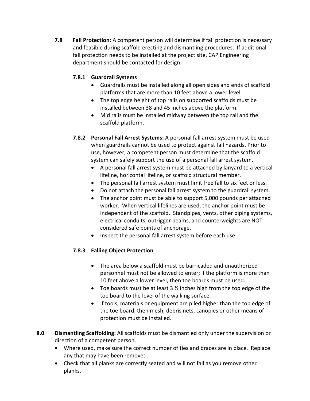**7.8 Fall Protection:** A competent person will determine if fall protection is necessary and feasible during scaffold erecting and dismantling procedures. If additional fall protection needs to be installed at the project site, CAP Engineering department should be contacted for design.

## **7.8.1 Guardrail Systems**

- Guardrails must be installed along all open sides and ends of scaffold platforms that are more than 10 feet above a lower level.
- The top edge height of top rails on supported scaffolds must be installed between 38 and 45 inches above the platform.
- Mid rails must be installed midway between the top rail and the scaffold platform.
- **7.8.2 Personal Fall Arrest Systems:** A personal fall arrest system must be used when guardrails cannot be used to protect against fall hazards. Prior to use, however, a competent person must determine that the scaffold system can safely support the use of a personal fall arrest system.
	- A personal fall arrest system must be attached by lanyard to a vertical lifeline, horizontal lifeline, or scaffold structural member.
	- The personal fall arrest system must limit free fall to six feet or less.
	- Do not attach the personal fall arrest system to the guardrail system.
	- The anchor point must be able to support 5,000 pounds per attached worker. When vertical lifelines are used, the anchor point must be independent of the scaffold. Standpipes, vents, other piping systems, electrical conduits, outrigger beams, and counterweights are NOT considered safe points of anchorage.
	- Inspect the personal fall arrest system before each use.

## **7.8.3 Falling Object Protection**

- The area below a scaffold must be barricaded and unauthorized personnel must not be allowed to enter; if the platform is more than 10 feet above a lower level, then toe boards must be used.
- Toe boards must be at least 3  $\frac{1}{2}$  inches high from the top edge of the toe board to the level of the walking surface.
- If tools, materials or equipment are piled higher than the top edge of the toe board, then mesh, debris nets, canopies or other means of protection must be installed.
- **8.0 Dismantling Scaffolding:** All scaffolds must be dismantled only under the supervision or direction of a competent person.
	- Where used, make sure the correct number of ties and braces are in place. Replace any that may have been removed.
	- Check that all planks are correctly seated and will not fall as you remove other planks.